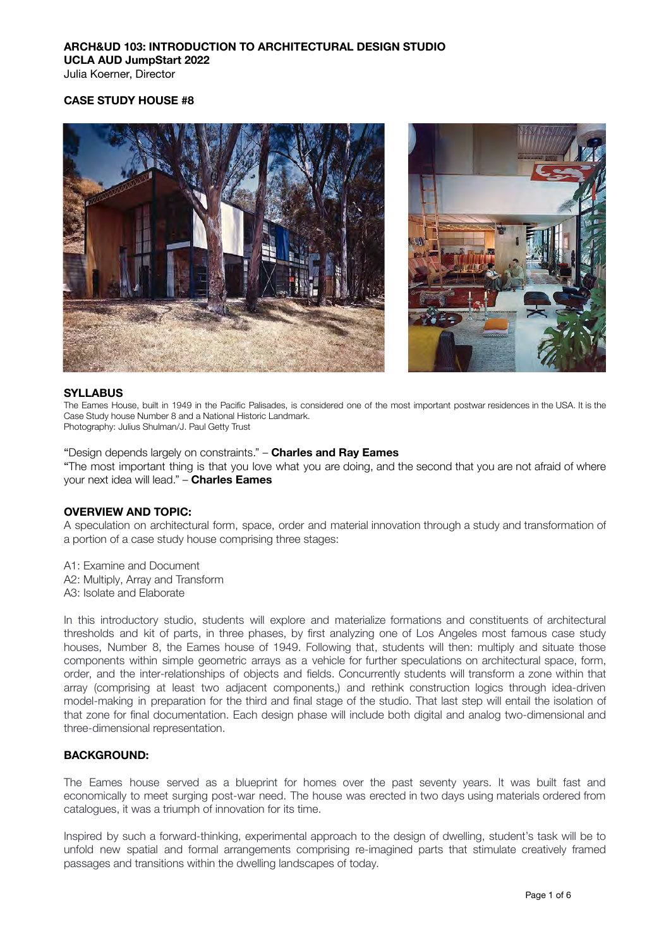Julia Koerner, Director

### **CASE STUDY HOUSE #8**





#### **SYLLABUS**

The Eames House, built in 1949 in the Pacific Palisades, is considered one of the most important postwar residences in the USA. It is the Case Study house Number 8 and a National Historic Landmark. Photography: Julius Shulman/J. Paul Getty Trust

#### "Design depends largely on constraints." – **Charles and Ray Eames**

"The most important thing is that you love what you are doing, and the second that you are not afraid of where your next idea will lead." – **Charles Eames**

#### **OVERVIEW AND TOPIC:**

A speculation on architectural form, space, order and material innovation through a study and transformation of a portion of a case study house comprising three stages:

A1: Examine and Document A2: Multiply, Array and Transform A3: Isolate and Elaborate

In this introductory studio, students will explore and materialize formations and constituents of architectural thresholds and kit of parts, in three phases, by first analyzing one of Los Angeles most famous case study houses, Number 8, the Eames house of 1949. Following that, students will then: multiply and situate those components within simple geometric arrays as a vehicle for further speculations on architectural space, form, order, and the inter-relationships of objects and fields. Concurrently students will transform a zone within that array (comprising at least two adjacent components,) and rethink construction logics through idea-driven model-making in preparation for the third and final stage of the studio. That last step will entail the isolation of that zone for final documentation. Each design phase will include both digital and analog two-dimensional and three-dimensional representation.

#### **BACKGROUND:**

The Eames house served as a blueprint for homes over the past seventy years. It was built fast and economically to meet surging post-war need. The house was erected in two days using materials ordered from catalogues, it was a triumph of innovation for its time.

Inspired by such a forward-thinking, experimental approach to the design of dwelling, student's task will be to unfold new spatial and formal arrangements comprising re-imagined parts that stimulate creatively framed passages and transitions within the dwelling landscapes of today.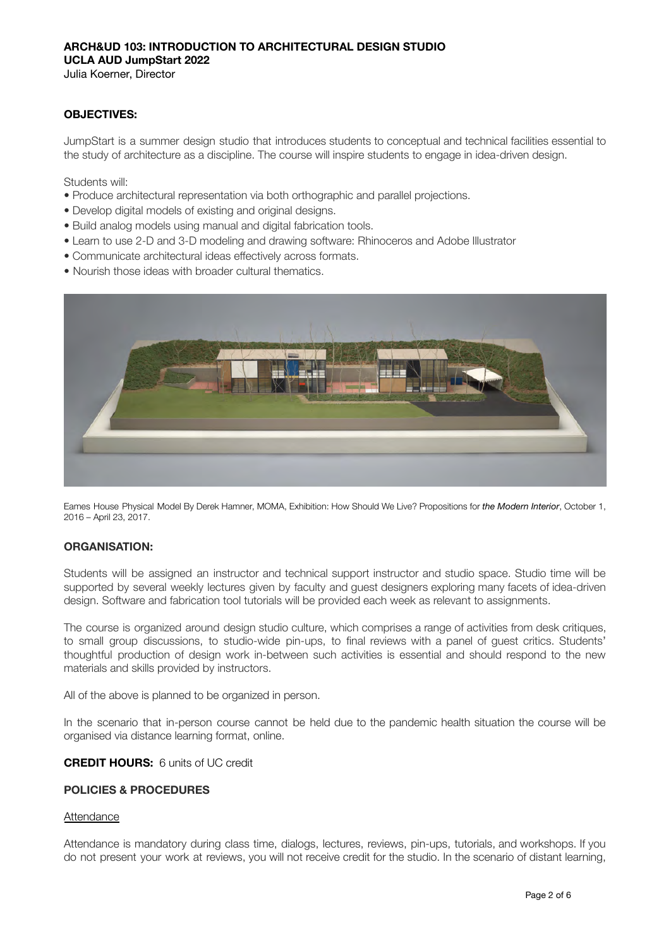Julia Koerner, Director

### **OBJECTIVES:**

JumpStart is a summer design studio that introduces students to conceptual and technical facilities essential to the study of architecture as a discipline. The course will inspire students to engage in idea-driven design.

Students will:

- Produce architectural representation via both orthographic and parallel projections.
- Develop digital models of existing and original designs.
- Build analog models using manual and digital fabrication tools.
- Learn to use 2-D and 3-D modeling and drawing software: Rhinoceros and Adobe Illustrator
- Communicate architectural ideas effectively across formats.
- Nourish those ideas with broader cultural thematics.



Eames House Physical Model By Derek Hamner, MOMA, Exhibition: How Should We Live? Propositions for *the Modern Interior*, October 1, 2016 – April 23, 2017.

### **ORGANISATION:**

Students will be assigned an instructor and technical support instructor and studio space. Studio time will be supported by several weekly lectures given by faculty and guest designers exploring many facets of idea-driven design. Software and fabrication tool tutorials will be provided each week as relevant to assignments.

The course is organized around design studio culture, which comprises a range of activities from desk critiques, to small group discussions, to studio-wide pin-ups, to final reviews with a panel of guest critics. Students' thoughtful production of design work in-between such activities is essential and should respond to the new materials and skills provided by instructors.

All of the above is planned to be organized in person.

In the scenario that in-person course cannot be held due to the pandemic health situation the course will be organised via distance learning format, online.

#### **CREDIT HOURS:** 6 units of UC credit

#### **POLICIES & PROCEDURES**

#### Attendance

Attendance is mandatory during class time, dialogs, lectures, reviews, pin-ups, tutorials, and workshops. If you do not present your work at reviews, you will not receive credit for the studio. In the scenario of distant learning,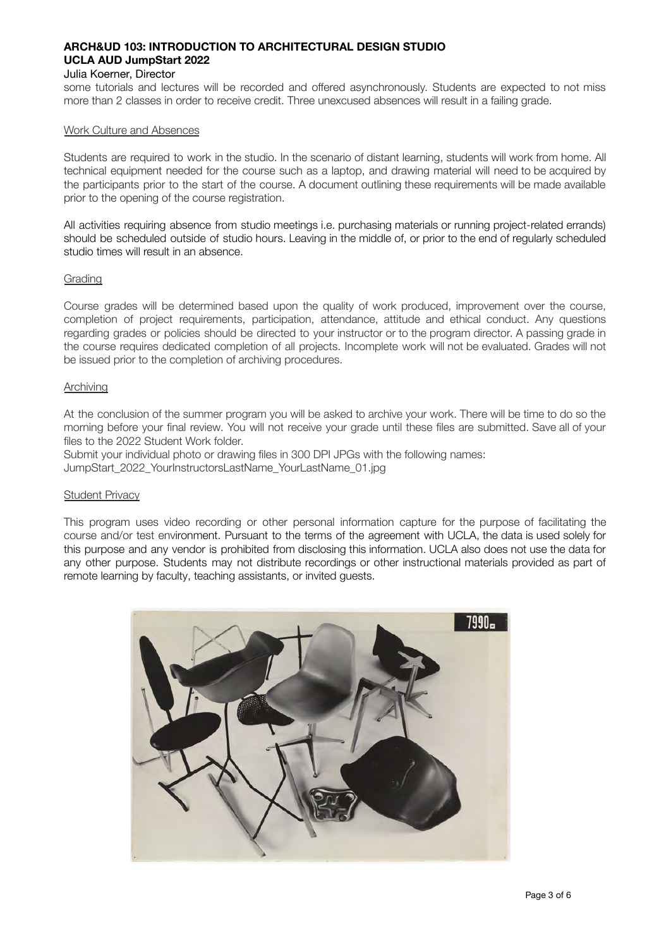#### Julia Koerner, Director

some tutorials and lectures will be recorded and offered asynchronously. Students are expected to not miss more than 2 classes in order to receive credit. Three unexcused absences will result in a failing grade.

#### Work Culture and Absences

Students are required to work in the studio. In the scenario of distant learning, students will work from home. All technical equipment needed for the course such as a laptop, and drawing material will need to be acquired by the participants prior to the start of the course. A document outlining these requirements will be made available prior to the opening of the course registration.

All activities requiring absence from studio meetings i.e. purchasing materials or running project-related errands) should be scheduled outside of studio hours. Leaving in the middle of, or prior to the end of regularly scheduled studio times will result in an absence.

#### Grading

Course grades will be determined based upon the quality of work produced, improvement over the course, completion of project requirements, participation, attendance, attitude and ethical conduct. Any questions regarding grades or policies should be directed to your instructor or to the program director. A passing grade in the course requires dedicated completion of all projects. Incomplete work will not be evaluated. Grades will not be issued prior to the completion of archiving procedures.

#### **Archiving**

At the conclusion of the summer program you will be asked to archive your work. There will be time to do so the morning before your final review. You will not receive your grade until these files are submitted. Save all of your files to the 2022 Student Work folder.

Submit your individual photo or drawing files in 300 DPI JPGs with the following names:

JumpStart\_2022\_YourInstructorsLastName\_YourLastName\_01.jpg

#### Student Privacy

This program uses video recording or other personal information capture for the purpose of facilitating the course and/or test environment. Pursuant to the terms of the agreement with UCLA, the data is used solely for this purpose and any vendor is prohibited from disclosing this information. UCLA also does not use the data for any other purpose. Students may not distribute recordings or other instructional materials provided as part of remote learning by faculty, teaching assistants, or invited guests.

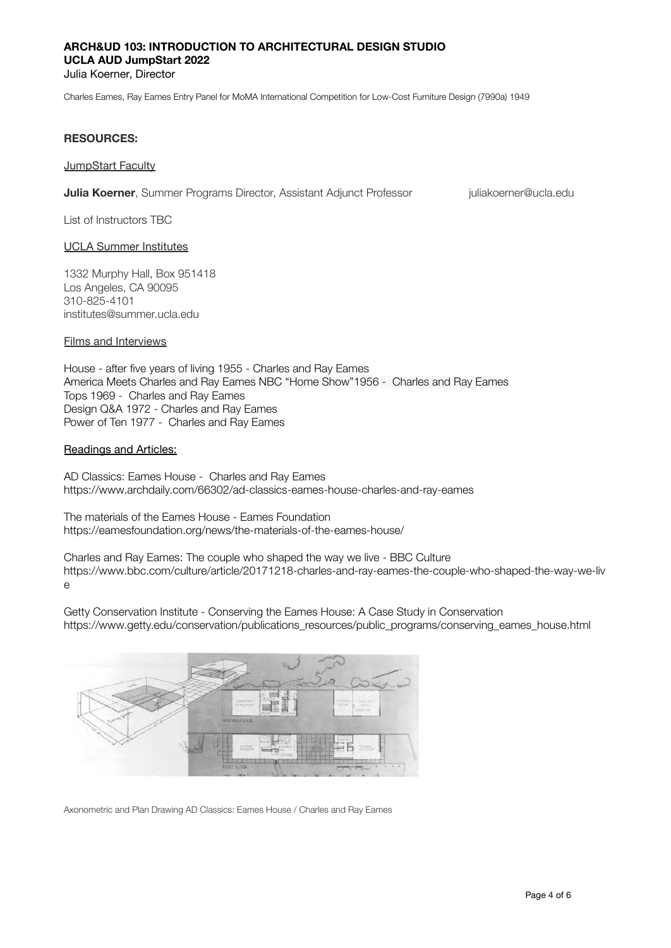#### Julia Koerner, Director

[Charles Eames,](https://www.moma.org/artists/1671) [Ray Eames](https://www.moma.org/artists/1672) Entry Panel for MoMA International Competition for Low-Cost Furniture Design (7990a) 1949

#### **RESOURCES:**

**JumpStart Faculty** 

**Julia Koerner**, Summer Programs Director, Assistant Adjunct Professor *[juliakoerner@ucla.edu](mailto:juliakoerner@ucla.edu)* 

List of Instructors TBC

#### UCLA Summer Institutes

1332 Murphy Hall, Box 951418 Los Angeles, CA 90095 310-825-4101 institutes@summer.ucla.edu

#### Films and Interviews

House - after five years of living 1955 - Charles and Ray Eames America Meets Charles and Ray Eames NBC "Home Show"1956 - Charles and Ray Eames Tops 1969 - Charles and Ray Eames Design Q&A 1972 - Charles and Ray Eames Power of Ten 1977 - Charles and Ray Eames

#### Readings and Articles:

AD Classics: Eames House - Charles and Ray Eames https://www.archdaily.com/66302/ad-classics-eames-house-charles-and-ray-eames

The materials of the Eames House - Eames Foundation <https://eamesfoundation.org/news/the-materials-of-the-eames-house/>

Charles and Ray Eames: The couple who shaped the way we live - BBC Culture [https://www.bbc.com/culture/article/20171218-charles-and-ray-eames-the-couple-who-shaped-the-way-we-liv](https://www.bbc.com/culture/article/20171218-charles-and-ray-eames-the-couple-who-shaped-the-way-we-live) [e](https://www.bbc.com/culture/article/20171218-charles-and-ray-eames-the-couple-who-shaped-the-way-we-live)

Getty Conservation Institute - Conserving the Eames House: A Case Study in Conservation https://www.getty.edu/conservation/publications\_resources/public\_programs/conserving\_eames\_house.html



Axonometric and Plan Drawing AD Classics: Eames House / Charles and Ray Eames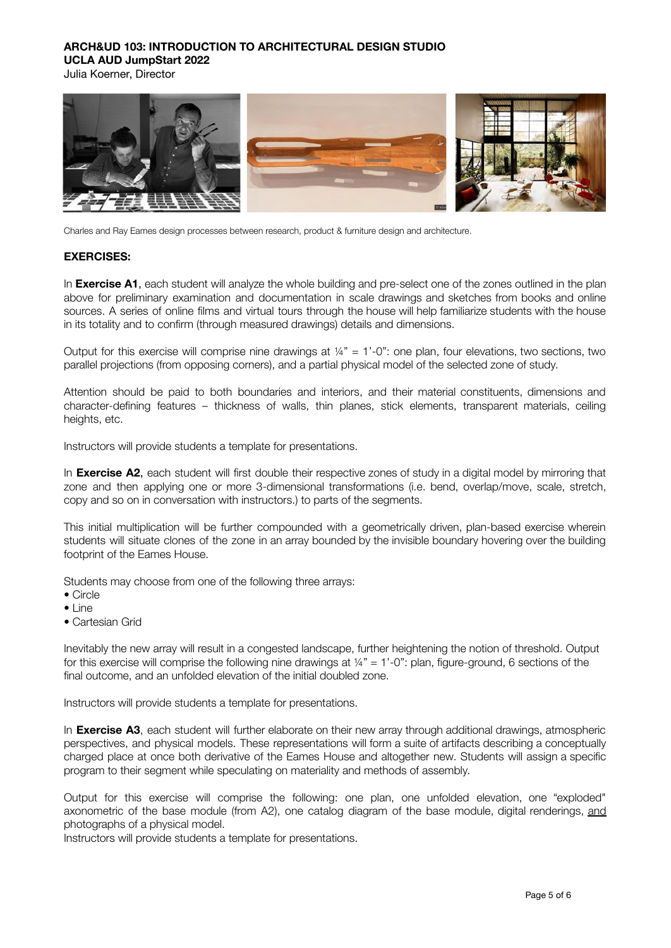Julia Koerner, Director



Charles and Ray Eames design processes between research, product & furniture design and architecture.

#### **EXERCISES:**

In **Exercise A1**, each student will analyze the whole building and pre-select one of the zones outlined in the plan above for preliminary examination and documentation in scale drawings and sketches from books and online sources. A series of online films and virtual tours through the house will help familiarize students with the house in its totality and to confirm (through measured drawings) details and dimensions.

Output for this exercise will comprise nine drawings at  $\frac{1}{4}$ " = 1'-0": one plan, four elevations, two sections, two parallel projections (from opposing corners), and a partial physical model of the selected zone of study.

Attention should be paid to both boundaries and interiors, and their material constituents, dimensions and character-defining features – thickness of walls, thin planes, stick elements, transparent materials, ceiling heights, etc.

Instructors will provide students a template for presentations.

In **Exercise A2**, each student will first double their respective zones of study in a digital model by mirroring that zone and then applying one or more 3-dimensional transformations (i.e. bend, overlap/move, scale, stretch, copy and so on in conversation with instructors.) to parts of the segments.

This initial multiplication will be further compounded with a geometrically driven, plan-based exercise wherein students will situate clones of the zone in an array bounded by the invisible boundary hovering over the building footprint of the Eames House.

Students may choose from one of the following three arrays:

- Circle
- Line
- Cartesian Grid

Inevitably the new array will result in a congested landscape, further heightening the notion of threshold. Output for this exercise will comprise the following nine drawings at  $\frac{1}{4}$ " = 1'-0"; plan, figure-ground, 6 sections of the final outcome, and an unfolded elevation of the initial doubled zone.

Instructors will provide students a template for presentations.

In **Exercise A3**, each student will further elaborate on their new array through additional drawings, atmospheric perspectives, and physical models. These representations will form a suite of artifacts describing a conceptually charged place at once both derivative of the Eames House and altogether new. Students will assign a specific program to their segment while speculating on materiality and methods of assembly.

Output for this exercise will comprise the following: one plan, one unfolded elevation, one "exploded" axonometric of the base module (from A2), one catalog diagram of the base module, digital renderings, and photographs of a physical model.

Instructors will provide students a template for presentations.